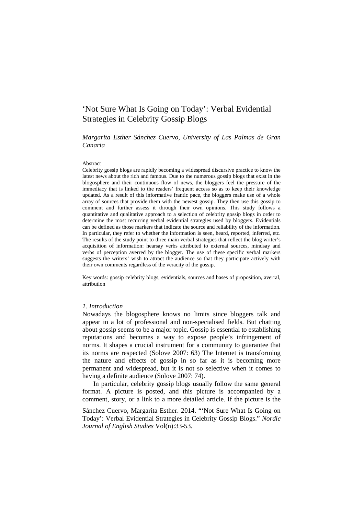# 'Not Sure What Is Going on Today': Verbal Evidential Strategies in Celebrity Gossip Blogs

## *Margarita Esther Sánchez Cuervo, University of Las Palmas de Gran Canaria*

#### Abstract

Celebrity gossip blogs are rapidly becoming a widespread discursive practice to know the latest news about the rich and famous. Due to the numerous gossip blogs that exist in the blogosphere and their continuous flow of news, the bloggers feel the pressure of the immediacy that is linked to the readers' frequent access so as to keep their knowledge updated. As a result of this informative frantic pace, the bloggers make use of a whole array of sources that provide them with the newest gossip. They then use this gossip to comment and further assess it through their own opinions. This study follows a quantitative and qualitative approach to a selection of celebrity gossip blogs in order to determine the most recurring verbal evidential strategies used by bloggers. Evidentials can be defined as those markers that indicate the source and reliability of the information. In particular, they refer to whether the information is seen, heard, reported, inferred, etc. The results of the study point to three main verbal strategies that reflect the blog writer's acquisition of information: hearsay verbs attributed to external sources, mindsay and verbs of perception averred by the blogger. The use of these specific verbal markers suggests the writers' wish to attract the audience so that they participate actively with their own comments regardless of the veracity of the gossip.

Key words: gossip celebrity blogs, evidentials, sources and bases of proposition, averral, attribution

#### *1. Introduction*

Nowadays the blogosphere knows no limits since bloggers talk and appear in a lot of professional and non-specialised fields. But chatting about gossip seems to be a major topic. Gossip is essential to establishing reputations and becomes a way to expose people's infringement of norms. It shapes a crucial instrument for a community to guarantee that its norms are respected (Solove 2007: 63) The Internet is transforming the nature and effects of gossip in so far as it is becoming more permanent and widespread, but it is not so selective when it comes to having a definite audience (Solove 2007: 74).

In particular, celebrity gossip blogs usually follow the same general format. A picture is posted, and this picture is accompanied by a comment, story, or a link to a more detailed article. If the picture is the

Sánchez Cuervo, Margarita Esther. 2014. "'Not Sure What Is Going on Today': Verbal Evidential Strategies in Celebrity Gossip Blogs." *Nordic Journal of English Studies* Vol(n):33-53.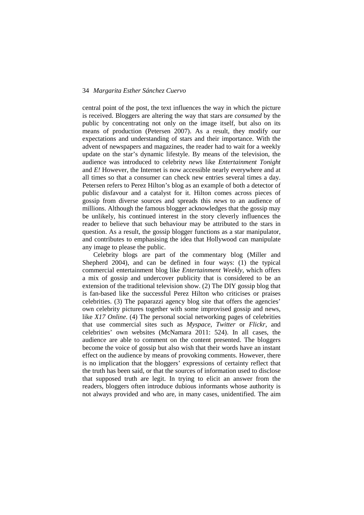central point of the post, the text influences the way in which the picture is received. Bloggers are altering the way that stars are *consumed* by the public by concentrating not only on the image itself, but also on its means of production (Petersen 2007). As a result, they modify our expectations and understanding of stars and their importance. With the advent of newspapers and magazines, the reader had to wait for a weekly update on the star's dynamic lifestyle. By means of the television, the audience was introduced to celebrity *news* like *Entertainment Tonight* and *E!* However, the Internet is now accessible nearly everywhere and at all times so that a consumer can check new entries several times a day. Petersen refers to Perez Hilton's blog as an example of both a detector of public disfavour and a catalyst for it. Hilton comes across pieces of gossip from diverse sources and spreads this *news* to an audience of millions. Although the famous blogger acknowledges that the gossip may be unlikely, his continued interest in the story cleverly influences the reader to believe that such behaviour may be attributed to the stars in question. As a result, the gossip blogger functions as a star manipulator, and contributes to emphasising the idea that Hollywood can manipulate any image to please the public.

Celebrity blogs are part of the commentary blog (Miller and Shepherd 2004), and can be defined in four ways: (1) the typical commercial entertainment blog like *Entertainment Weekly*, which offers a mix of gossip and undercover publicity that is considered to be an extension of the traditional television show. (2) The DIY gossip blog that is fan-based like the successful Perez Hilton who criticises or praises celebrities. (3) The paparazzi agency blog site that offers the agencies' own celebrity pictures together with some improvised gossip and news, like *X17 Online*. (4) The personal social networking pages of celebrities that use commercial sites such as *Myspace*, *Twitter* or *Flickr*, and celebrities' own websites (McNamara 2011: 524). In all cases, the audience are able to comment on the content presented. The bloggers become the voice of gossip but also wish that their words have an instant effect on the audience by means of provoking comments. However, there is no implication that the bloggers' expressions of certainty reflect that the truth has been said, or that the sources of information used to disclose that supposed truth are legit. In trying to elicit an answer from the readers, bloggers often introduce dubious informants whose authority is not always provided and who are, in many cases, unidentified. The aim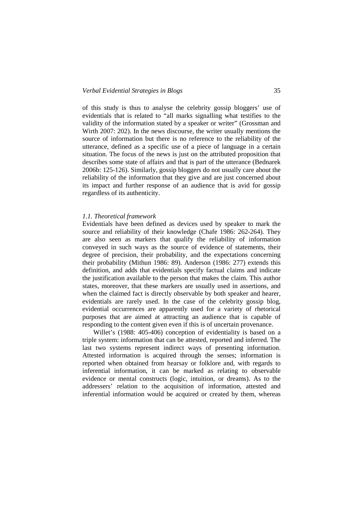of this study is thus to analyse the celebrity gossip bloggers' use of evidentials that is related to "all marks signalling what testifies to the validity of the information stated by a speaker or writer" (Grossman and Wirth 2007: 202). In the news discourse, the writer usually mentions the source of information but there is no reference to the reliability of the utterance, defined as a specific use of a piece of language in a certain situation. The focus of the news is just on the attributed proposition that describes some state of affairs and that is part of the utterance (Bednarek 2006b: 125-126). Similarly, gossip bloggers do not usually care about the reliability of the information that they give and are just concerned about its impact and further response of an audience that is avid for gossip regardless of its authenticity.

## *1.1. Theoretical framework*

Evidentials have been defined as devices used by speaker to mark the source and reliability of their knowledge (Chafe 1986: 262-264). They are also seen as markers that qualify the reliability of information conveyed in such ways as the source of evidence of statements, their degree of precision, their probability, and the expectations concerning their probability (Mithun 1986: 89). Anderson (1986: 277) extends this definition, and adds that evidentials specify factual claims and indicate the justification available to the person that makes the claim. This author states, moreover, that these markers are usually used in assertions, and when the claimed fact is directly observable by both speaker and hearer, evidentials are rarely used. In the case of the celebrity gossip blog, evidential occurrences are apparently used for a variety of rhetorical purposes that are aimed at attracting an audience that is capable of responding to the content given even if this is of uncertain provenance.

Willet's (1988: 405-406) conception of evidentiality is based on a triple system: information that can be attested, reported and inferred. The last two systems represent indirect ways of presenting information. Attested information is acquired through the senses; information is reported when obtained from hearsay or folklore and, with regards to inferential information, it can be marked as relating to observable evidence or mental constructs (logic, intuition, or dreams). As to the addressers' relation to the acquisition of information, attested and inferential information would be acquired or created by them, whereas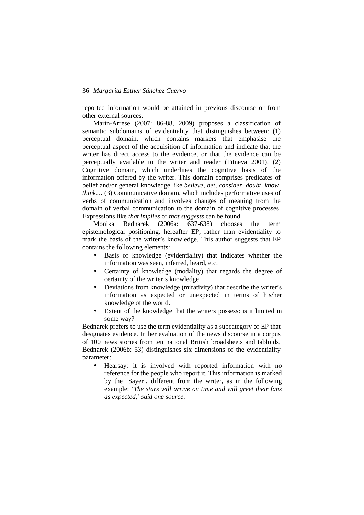reported information would be attained in previous discourse or from other external sources.

Marín-Arrese (2007: 86-88, 2009) proposes a classification of semantic subdomains of evidentiality that distinguishes between: (1) perceptual domain, which contains markers that emphasise the perceptual aspect of the acquisition of information and indicate that the writer has direct access to the evidence, or that the evidence can be perceptually available to the writer and reader (Fitneva 2001). (2) Cognitive domain, which underlines the cognitive basis of the information offered by the writer. This domain comprises predicates of belief and/or general knowledge like *believe*, *bet*, *consider*, *doubt*, *know*, *think*… (3) Communicative domain, which includes performative uses of verbs of communication and involves changes of meaning from the domain of verbal communication to the domain of cognitive processes. Expressions like *that implies* or *that suggests* can be found.

Monika Bednarek (2006a: 637-638) chooses the term epistemological positioning, hereafter EP, rather than evidentiality to mark the basis of the writer's knowledge. This author suggests that EP contains the following elements:

- Basis of knowledge (evidentiality) that indicates whether the information was seen, inferred, heard, etc.
- Certainty of knowledge (modality) that regards the degree of certainty of the writer's knowledge.
- Deviations from knowledge (mirativity) that describe the writer's information as expected or unexpected in terms of his/her knowledge of the world.
- Extent of the knowledge that the writers possess: is it limited in some way?

Bednarek prefers to use the term evidentiality as a subcategory of EP that designates evidence. In her evaluation of the news discourse in a corpus of 100 news stories from ten national British broadsheets and tabloids, Bednarek (2006b: 53) distinguishes six dimensions of the evidentiality parameter:

• Hearsay: it is involved with reported information with no reference for the people who report it. This information is marked by the 'Sayer', different from the writer, as in the following example: *'The stars will arrive on time and will greet their fans as expected,' said one source*.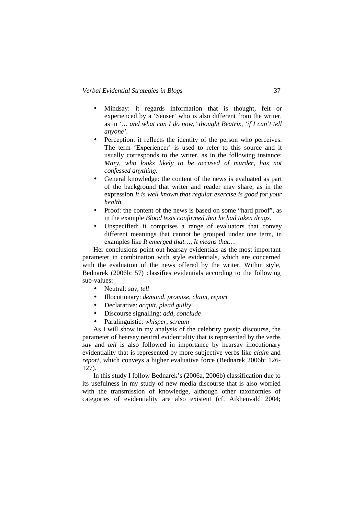- Mindsay: it regards information that is thought, felt or experienced by a 'Senser' who is also different from the writer, as in *'… and what can I do now,' thought Beatrix, 'if I can't tell anyone'*.
- Perception: it reflects the identity of the person who perceives. The term 'Experiencer' is used to refer to this source and it usually corresponds to the writer, as in the following instance: *Mary, who looks likely to be accused of murder, has not confessed anything*.
- General knowledge: the content of the news is evaluated as part of the background that writer and reader may share, as in the expression *It is well known that regular exercise is good for your health.*
- Proof: the content of the news is based on some "hard proof", as in the example *Blood tests confirmed that he had taken drugs*.
- Unspecified: it comprises a range of evaluators that convey different meanings that cannot be grouped under one term, in examples like *It emerged that…*, *It means that…*

Her conclusions point out hearsay evidentials as the most important parameter in combination with style evidentials, which are concerned with the evaluation of the news offered by the writer. Within style, Bednarek (2006b: 57) classifies evidentials according to the following sub-values:

- Neutral: *say*, *tell*
- Illocutionary: *demand*, *promise*, *claim*, *report*
- Declarative: *acquit*, *plead guilty*
- Discourse signalling: *add*, *conclude*
- Paralinguistic: *whisper*, *scream*

As I will show in my analysis of the celebrity gossip discourse, the parameter of hearsay neutral evidentiality that is represented by the verbs *say* and *tell* is also followed in importance by hearsay illocutionary evidentiality that is represented by more subjective verbs like *claim* and *report*, which conveys a higher evaluative force (Bednarek 2006b: 126- 127).

In this study I follow Bednarek's (2006a, 2006b) classification due to its usefulness in my study of new media discourse that is also worried with the transmission of knowledge, although other taxonomies of categories of evidentiality are also existent (cf. Aikhenvald 2004;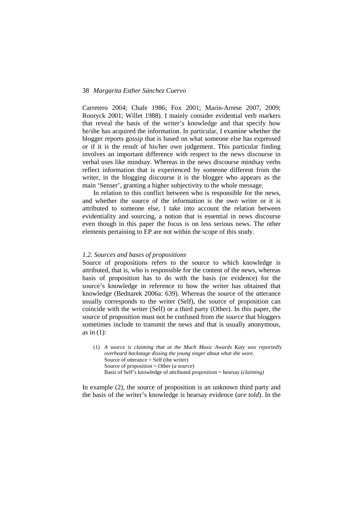Carretero 2004; Chafe 1986; Fox 2001; Marín-Arrese 2007, 2009; Rooryck 2001; Willet 1988). I mainly consider evidential verb markers that reveal the basis of the writer's knowledge and that specify how he/she has acquired the information. In particular, I examine whether the blogger reports gossip that is based on what someone else has expressed or if it is the result of his/her own judgement. This particular finding involves an important difference with respect to the news discourse in verbal uses like mindsay. Whereas in the news discourse mindsay verbs reflect information that is experienced by someone different from the writer, in the blogging discourse it is the blogger who appears as the main 'Senser', granting a higher subjectivity to the whole message.

In relation to this conflict between who is responsible for the news, and whether the source of the information is the own writer or it is attributed to someone else, I take into account the relation between evidentiality and sourcing, a notion that is essential in news discourse even though in this paper the focus is on less serious news. The other elements pertaining to EP are not within the scope of this study.

#### *1.2. Sources and bases of propositions*

Source of propositions refers to the source to which knowledge is attributed, that is, who is responsible for the content of the news, whereas basis of proposition has to do with the basis (or evidence) for the source's knowledge in reference to how the writer has obtained that knowledge (Bednarek 2006a: 639). Whereas the source of the utterance usually corresponds to the writer (Self), the source of proposition can coincide with the writer (Self) or a third party (Other). In this paper, the source of proposition must not be confused from *the source* that bloggers sometimes include to transmit the news and that is usually anonymous, as in  $(1)$ :

(1) *A source is claiming that at the Much Music Awards Katy was reportedly overheard backstage dissing the young singer about what she wore*. Source of utterance  $=$  Self (the writer) Source of proposition = Other (*a source*) Basis of Self's knowledge of attributed proposition = hearsay (*claiming)*

In example (2), the source of proposition is an unknown third party and the basis of the writer's knowledge is hearsay evidence (*are told*). In the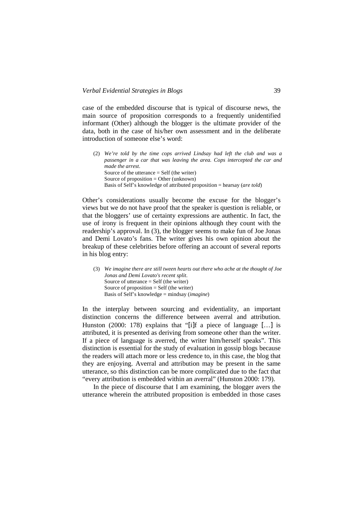case of the embedded discourse that is typical of discourse news, the main source of proposition corresponds to a frequently unidentified informant (Other) although the blogger is the ultimate provider of the data, both in the case of his/her own assessment and in the deliberate introduction of someone else's word:

(2) *We're told by the time cops arrived Lindsay had left the club and was a passenger in a car that was leaving the area. Cops intercepted the car and made the arrest*. Source of the utterance  $=$  Self (the writer) Source of proposition  $=$  Other (unknown) Basis of Self's knowledge of attributed proposition = hearsay (*are told*)

Other's considerations usually become the excuse for the blogger's views but we do not have proof that the speaker is question is reliable, or that the bloggers' use of certainty expressions are authentic. In fact, the use of irony is frequent in their opinions although they count with the readership's approval. In (3), the blogger seems to make fun of Joe Jonas and Demi Lovato's fans. The writer gives his own opinion about the breakup of these celebrities before offering an account of several reports in his blog entry:

(3) *We imagine there are still tween hearts out there who ache at the thought of Joe Jonas and Demi Lovato's recent split*. Source of utterance  $=$  Self (the writer) Source of proposition  $=$  Self (the writer) Basis of Self's knowledge = mindsay (*imagine*)

In the interplay between sourcing and evidentiality, an important distinction concerns the difference between averral and attribution. Hunston (2000: 178) explains that "[i]f a piece of language [...] is attributed, it is presented as deriving from someone other than the writer. If a piece of language is averred, the writer him/herself speaks". This distinction is essential for the study of evaluation in gossip blogs because the readers will attach more or less credence to, in this case, the blog that they are enjoying. Averral and attribution may be present in the same utterance, so this distinction can be more complicated due to the fact that "every attribution is embedded within an averral" (Hunston 2000: 179).

In the piece of discourse that I am examining, the blogger avers the utterance wherein the attributed proposition is embedded in those cases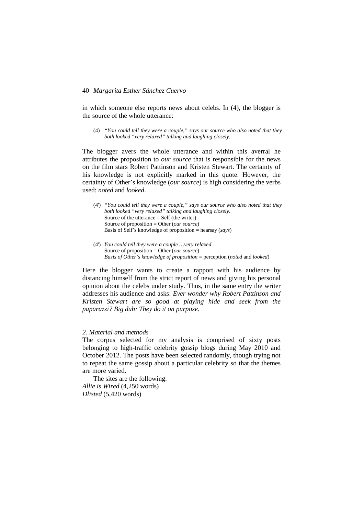in which someone else reports news about celebs. In (4), the blogger is the source of the whole utterance:

(4) *"You could tell they were a couple," says our source who also noted that they both looked "very relaxed" talking and laughing closely*.

The blogger avers the whole utterance and within this averral he attributes the proposition to *our source* that is responsible for the news on the film stars Robert Pattinson and Kristen Stewart. The certainty of his knowledge is not explicitly marked in this quote. However, the certainty of Other's knowledge (*our source*) is high considering the verbs used: *noted* and *looked*.

- (4') *"You could tell they were a couple," says our source who also noted that they both looked "very relaxed" talking and laughing closely*. Source of the utterance = Self (the writer) Source of proposition = Other (*our source*) Basis of Self's knowledge of proposition = hearsay (*says*)
- (4') *You could tell they were a couple …very relaxed* Source of proposition = Other (*our source*) *Basis of Other's knowledge of proposition* = perception (*noted* and *looked*)

Here the blogger wants to create a rapport with his audience by distancing himself from the strict report of news and giving his personal opinion about the celebs under study. Thus, in the same entry the writer addresses his audience and asks: *Ever wonder why Robert Pattinson and Kristen Stewart are so good at playing hide and seek from the paparazzi? Big duh: They do it on purpose*.

# *2. Material and methods*

The corpus selected for my analysis is comprised of sixty posts belonging to high-traffic celebrity gossip blogs during May 2010 and October 2012. The posts have been selected randomly, though trying not to repeat the same gossip about a particular celebrity so that the themes are more varied.

The sites are the following: *Allie is Wired* (4,250 words) *Dlisted* (5,420 words)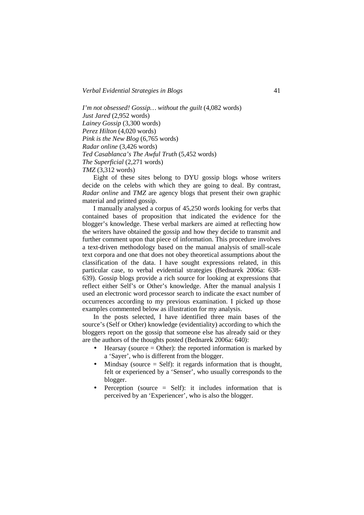*I'm not obsessed! Gossip… without the guilt* (4,082 words) *Just Jared* (2,952 words) *Lainey Gossip* (3,300 words) *Perez Hilton* (4,020 words) *Pink is the New Blog* (6,765 words) *Radar online* (3,426 words) *Ted Casablanca's The Awful Truth* (5,452 words) *The Superficial* (2,271 words) *TMZ* (3,312 words)

Eight of these sites belong to DYU gossip blogs whose writers decide on the celebs with which they are going to deal. By contrast, *Radar online* and *TMZ* are agency blogs that present their own graphic material and printed gossip.

I manually analysed a corpus of 45,250 words looking for verbs that contained bases of proposition that indicated the evidence for the blogger's knowledge. These verbal markers are aimed at reflecting how the writers have obtained the gossip and how they decide to transmit and further comment upon that piece of information. This procedure involves a text-driven methodology based on the manual analysis of small-scale text corpora and one that does not obey theoretical assumptions about the classification of the data. I have sought expressions related, in this particular case, to verbal evidential strategies (Bednarek 2006a: 638- 639). Gossip blogs provide a rich source for looking at expressions that reflect either Self's or Other's knowledge. After the manual analysis I used an electronic word processor search to indicate the exact number of occurrences according to my previous examination. I picked up those examples commented below as illustration for my analysis.

In the posts selected, I have identified three main bases of the source's (Self or Other) knowledge (evidentiality) according to which the bloggers report on the gossip that someone else has already said or they are the authors of the thoughts posted (Bednarek 2006a: 640):

- Hearsay (source  $=$  Other): the reported information is marked by a 'Sayer', who is different from the blogger.
- Mindsay (source  $=$  Self): it regards information that is thought, felt or experienced by a 'Senser', who usually corresponds to the blogger.
- Perception (source = Self): it includes information that is perceived by an 'Experiencer', who is also the blogger.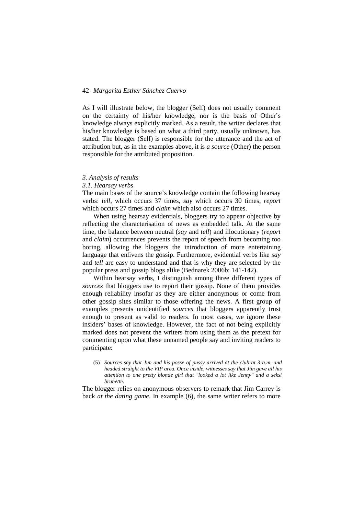As I will illustrate below, the blogger (Self) does not usually comment on the certainty of his/her knowledge, nor is the basis of Other's knowledge always explicitly marked. As a result, the writer declares that his/her knowledge is based on what a third party, usually unknown, has stated. The blogger (Self) is responsible for the utterance and the act of attribution but, as in the examples above, it is *a source* (Other) the person responsible for the attributed proposition.

## *3. Analysis of results*

## *3.1. Hearsay verbs*

The main bases of the source's knowledge contain the following hearsay verbs: *tell*, which occurs 37 times, *say* which occurs 30 times, *report* which occurs 27 times and *claim* which also occurs 27 times.

When using hearsay evidentials, bloggers try to appear objective by reflecting the characterisation of news as embedded talk. At the same time, the balance between neutral (*say* and *tell*) and illocutionary (*report* and *claim*) occurrences prevents the report of speech from becoming too boring, allowing the bloggers the introduction of more entertaining language that enlivens the gossip. Furthermore, evidential verbs like *say* and *tell* are easy to understand and that is why they are selected by the popular press and gossip blogs alike (Bednarek 2006b: 141-142).

Within hearsay verbs, I distinguish among three different types of *sources* that bloggers use to report their gossip. None of them provides enough reliability insofar as they are either anonymous or come from other gossip sites similar to those offering the news. A first group of examples presents unidentified *sources* that bloggers apparently trust enough to present as valid to readers. In most cases, we ignore these insiders' bases of knowledge. However, the fact of not being explicitly marked does not prevent the writers from using them as the pretext for commenting upon what these unnamed people say and inviting readers to participate:

(5) *Sources say that Jim and his posse of pussy arrived at the club at 3 a.m. and headed straight to the VIP area. Once inside, witnesses say that Jim gave all his attention to one pretty blonde girl that "looked a lot like Jenny" and a seksi brunette*.

The blogger relies on anonymous observers to remark that Jim Carrey is back *at the dating game*. In example (6), the same writer refers to more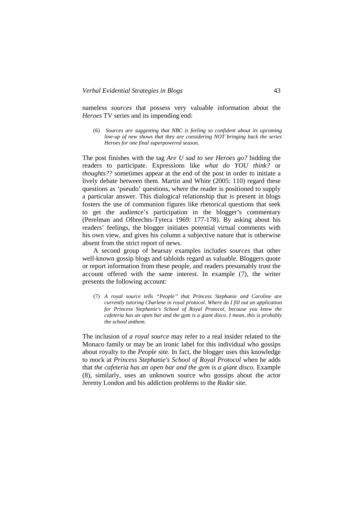nameless *sources* that possess very valuable information about the *Heroes* TV series and its impending end:

(6) *Sources are suggesting that NBC is feeling so confident about its upcoming line-up of new shows that they are considering NOT bringing back the series Heroes for one final superpowered season*.

The post finishes with the tag *Are U sad to see Heroes go?* bidding the readers to participate. Expressions like *what do YOU think?* or *thoughts??* sometimes appear at the end of the post in order to initiate a lively debate between them. Martin and White (2005: 110) regard these questions as 'pseudo' questions, where the reader is positioned to supply a particular answer. This dialogical relationship that is present in blogs fosters the use of communion figures like rhetorical questions that seek to get the audience's participation in the blogger's commentary (Perelman and Olbrechts-Tyteca 1969: 177-178). By asking about his readers' feelings, the blogger initiates potential virtual comments with his own view, and gives his column a subjective nature that is otherwise absent from the strict report of news.

A second group of hearsay examples includes *sources* that other well-known gossip blogs and tabloids regard as valuable. Bloggers quote or report information from these people, and readers presumably trust the account offered with the same interest. In example (7), the writer presents the following account:

(7) *A royal source tells "People" that Princess Stephanie and Caroline are currently tutoring Charlene in royal protocol. Where do I fill out an application for Princess Stephanie's School of Royal Protocol, because you know the cafeteria has an open bar and the gym is a giant disco. I mean, this is probably the school anthem*.

The inclusion of *a royal source* may refer to a real insider related to the Monaco family or may be an ironic label for this individual who gossips about royalty to the *People* site. In fact, the blogger uses this knowledge to mock at *Princess Stephanie's School of Royal Protocol* when he adds that *the cafeteria has an open bar and the gym is a giant disco*. Example (8), similarly, uses an unknown source who gossips about the actor Jeremy London and his addiction problems to the *Radar* site.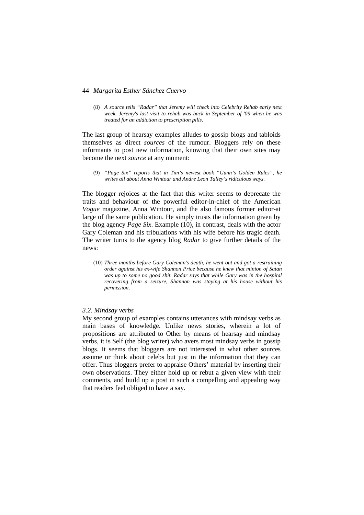(8) *A source tells "Radar" that Jeremy will check into Celebrity Rehab early next week. Jeremy's last visit to rehab was back in September of '09 when he was treated for an addiction to prescription pills*.

The last group of hearsay examples alludes to gossip blogs and tabloids themselves as direct *sources* of the rumour. Bloggers rely on these informants to post new information, knowing that their own sites may become the next *source* at any moment:

(9) *"Page Six" reports that in Tim's newest book "Gunn's Golden Rules", he writes all about Anna Wintour and Andre Leon Talley's ridiculous ways*.

The blogger rejoices at the fact that this writer seems to deprecate the traits and behaviour of the powerful editor-in-chief of the American *Vogue* magazine, Anna Wintour, and the also famous former editor-at large of the same publication. He simply trusts the information given by the blog agency *Page Six*. Example (10), in contrast, deals with the actor Gary Coleman and his tribulations with his wife before his tragic death. The writer turns to the agency blog *Radar* to give further details of the news:

(10) *Three months before Gary Coleman's death, he went out and got a restraining order against his ex-wife Shannon Price because he knew that minion of Satan was up to some no good shit. Radar says that while Gary was in the hospital recovering from a seizure, Shannon was staying at his house without his permission*.

#### *3.2. Mindsay verbs*

My second group of examples contains utterances with mindsay verbs as main bases of knowledge. Unlike news stories, wherein a lot of propositions are attributed to Other by means of hearsay and mindsay verbs, it is Self (the blog writer) who avers most mindsay verbs in gossip blogs. It seems that bloggers are not interested in what other sources assume or think about celebs but just in the information that they can offer. Thus bloggers prefer to appraise Others' material by inserting their own observations. They either hold up or rebut a given view with their comments, and build up a post in such a compelling and appealing way that readers feel obliged to have a say.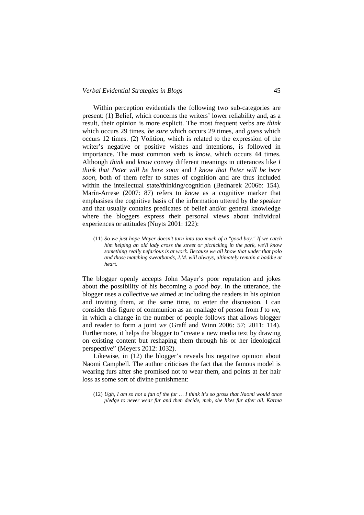Within perception evidentials the following two sub-categories are present: (1) Belief, which concerns the writers' lower reliability and, as a result, their opinion is more explicit. The most frequent verbs are *think* which occurs 29 times, *be sure* which occurs 29 times, and *guess* which occurs 12 times. (2) Volition, which is related to the expression of the writer's negative or positive wishes and intentions, is followed in importance. The most common verb is *know*, which occurs 44 times. Although *think* and *know* convey different meanings in utterances like *I think that Peter will be here soon* and *I know that Peter will be here soon*, both of them refer to states of cognition and are thus included within the intellectual state/thinking/cognition (Bednarek 2006b: 154). Marín-Arrese (2007: 87) refers to *know* as a cognitive marker that emphasises the cognitive basis of the information uttered by the speaker and that usually contains predicates of belief and/or general knowledge where the bloggers express their personal views about individual experiences or attitudes (Nuyts 2001: 122):

(11) *So we just hope Mayer doesn't turn into too much of a "good boy." If we catch him helping an old lady cross the street or picnicking in the park, we'll know something really nefarious is at work. Because we all know that under that polo and those matching sweatbands, J.M. will always, ultimately remain a baddie at heart*.

The blogger openly accepts John Mayer's poor reputation and jokes about the possibility of his becoming a *good boy*. In the utterance, the blogger uses a collective *we* aimed at including the readers in his opinion and inviting them, at the same time, to enter the discussion. I can consider this figure of communion as an enallage of person from *I* to *we*, in which a change in the number of people follows that allows blogger and reader to form a joint *we* (Graff and Winn 2006: 57; 2011: 114). Furthermore, it helps the blogger to "create a new media text by drawing on existing content but reshaping them through his or her ideological perspective" (Meyers 2012: 1032).

Likewise, in (12) the blogger's reveals his negative opinion about Naomi Campbell. The author criticises the fact that the famous model is wearing furs after she promised not to wear them, and points at her hair loss as some sort of divine punishment:

<sup>(12)</sup> *Ugh, I am so not a fan of the fur … I think it's so gross that Naomi would once pledge to never wear fur and then decide, meh, she likes fur after all. Karma*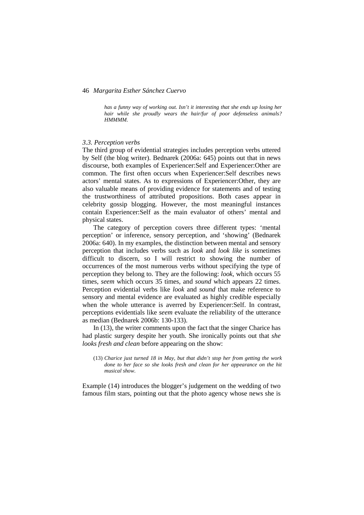*has a funny way of working out. Isn't it interesting that she ends up losing her hair while she proudly wears the hair/fur of poor defenseless animals? HMMMM*.

#### *3.3. Perception verbs*

The third group of evidential strategies includes perception verbs uttered by Self (the blog writer). Bednarek (2006a: 645) points out that in news discourse, both examples of Experiencer:Self and Experiencer:Other are common. The first often occurs when Experiencer:Self describes news actors' mental states. As to expressions of Experiencer:Other, they are also valuable means of providing evidence for statements and of testing the trustworthiness of attributed propositions. Both cases appear in celebrity gossip blogging. However, the most meaningful instances contain Experiencer:Self as the main evaluator of others' mental and physical states.

The category of perception covers three different types: 'mental perception' or inference, sensory perception, and 'showing' (Bednarek 2006a: 640). In my examples, the distinction between mental and sensory perception that includes verbs such as *look* and *look like* is sometimes difficult to discern, so I will restrict to showing the number of occurrences of the most numerous verbs without specifying the type of perception they belong to. They are the following: *look*, which occurs 55 times, *seem* which occurs 35 times, and *sound* which appears 22 times. Perception evidential verbs like *look* and *sound* that make reference to sensory and mental evidence are evaluated as highly credible especially when the whole utterance is averred by Experiencer:Self. In contrast, perceptions evidentials like *seem* evaluate the reliability of the utterance as median (Bednarek 2006b: 130-133).

In (13), the writer comments upon the fact that the singer Charice has had plastic surgery despite her youth. She ironically points out that *she looks fresh and clean* before appearing on the show:

(13) *Charice just turned 18 in May, but that didn't stop her from getting the work done to her face so she looks fresh and clean for her appearance on the hit musical show*.

Example (14) introduces the blogger's judgement on the wedding of two famous film stars, pointing out that the photo agency whose news she is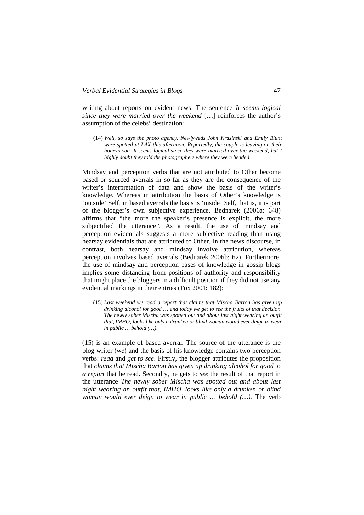writing about reports on evident news. The sentence *It seems logical since they were married over the weekend* […] reinforces the author's assumption of the celebs' destination:

(14) *Well, so says the photo agency. Newlyweds John Krasinski and Emily Blunt were spotted at LAX this afternoon. Reportedly, the couple is leaving on their honeymoon. It seems logical since they were married over the weekend, but I highly doubt they told the photographers where they were headed*.

Mindsay and perception verbs that are not attributed to Other become based or sourced averrals in so far as they are the consequence of the writer's interpretation of data and show the basis of the writer's knowledge. Whereas in attribution the basis of Other's knowledge is 'outside' Self, in based averrals the basis is 'inside' Self, that is, it is part of the blogger's own subjective experience. Bednarek (2006a: 648) affirms that "the more the speaker's presence is explicit, the more subjectified the utterance". As a result, the use of mindsay and perception evidentials suggests a more subjective reading than using hearsay evidentials that are attributed to Other. In the news discourse, in contrast, both hearsay and mindsay involve attribution, whereas perception involves based averrals (Bednarek 2006b: 62). Furthermore, the use of mindsay and perception bases of knowledge in gossip blogs implies some distancing from positions of authority and responsibility that might place the bloggers in a difficult position if they did not use any evidential markings in their entries (Fox 2001: 182):

(15) *Last weekend we read a report that claims that Mischa Barton has given up drinking alcohol for good … and today we get to see the fruits of that decision. The newly sober Mischa was spotted out and about last night wearing an outfit that, IMHO, looks like only a drunken or blind woman would ever deign to wear in public … behold (…)*.

(15) is an example of based averral. The source of the utterance is the blog writer (*we*) and the basis of his knowledge contains two perception verbs: *read* and *get to see*. Firstly, the blogger attributes the proposition that *claims that Mischa Barton has given up drinking alcohol for good* to *a report* that he read. Secondly, he gets to *see* the result of that report in the utterance *The newly sober Mischa was spotted out and about last night wearing an outfit that, IMHO, looks like only a drunken or blind woman would ever deign to wear in public … behold (…)*. The verb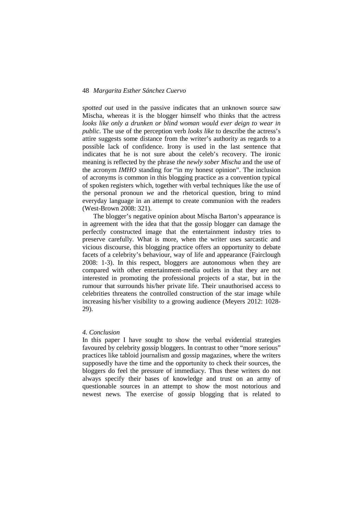*spotted out* used in the passive indicates that an unknown source saw Mischa, whereas it is the blogger himself who thinks that the actress *looks like only a drunken or blind woman would ever deign to wear in public*. The use of the perception verb *looks like* to describe the actress's attire suggests some distance from the writer's authority as regards to a possible lack of confidence. Irony is used in the last sentence that indicates that he is not sure about the celeb's recovery. The ironic meaning is reflected by the phrase *the newly sober Mischa* and the use of the acronym *IMHO* standing for "in my honest opinion". The inclusion of acronyms is common in this blogging practice as a convention typical of spoken registers which, together with verbal techniques like the use of the personal pronoun *we* and the rhetorical question, bring to mind everyday language in an attempt to create communion with the readers (West-Brown 2008: 321).

The blogger's negative opinion about Mischa Barton's appearance is in agreement with the idea that that the gossip blogger can damage the perfectly constructed image that the entertainment industry tries to preserve carefully. What is more, when the writer uses sarcastic and vicious discourse, this blogging practice offers an opportunity to debate facets of a celebrity's behaviour, way of life and appearance (Fairclough 2008: 1-3). In this respect, bloggers are autonomous when they are compared with other entertainment-media outlets in that they are not interested in promoting the professional projects of a star, but in the rumour that surrounds his/her private life. Their unauthorised access to celebrities threatens the controlled construction of the star image while increasing his/her visibility to a growing audience (Meyers 2012: 1028- 29).

## *4. Conclusion*

In this paper I have sought to show the verbal evidential strategies favoured by celebrity gossip bloggers. In contrast to other "more serious" practices like tabloid journalism and gossip magazines, where the writers supposedly have the time and the opportunity to check their sources, the bloggers do feel the pressure of immediacy. Thus these writers do not always specify their bases of knowledge and trust on an army of questionable sources in an attempt to show the most notorious and newest news. The exercise of gossip blogging that is related to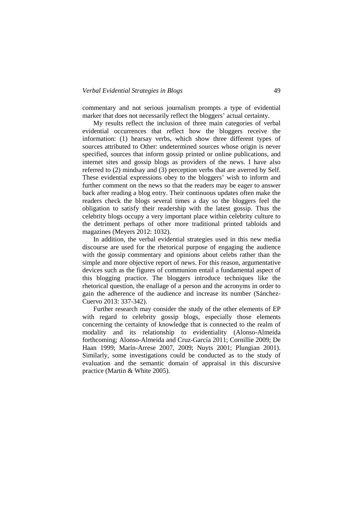commentary and not serious journalism prompts a type of evidential marker that does not necessarily reflect the bloggers' actual certainty.

My results reflect the inclusion of three main categories of verbal evidential occurrences that reflect how the bloggers receive the information: (1) hearsay verbs, which show three different types of sources attributed to Other: undetermined sources whose origin is never specified, sources that inform gossip printed or online publications, and internet sites and gossip blogs as providers of the news. I have also referred to (2) mindsay and (3) perception verbs that are averred by Self. These evidential expressions obey to the bloggers' wish to inform and further comment on the news so that the readers may be eager to answer back after reading a blog entry. Their continuous updates often make the readers check the blogs several times a day so the bloggers feel the obligation to satisfy their readership with the latest gossip. Thus the celebrity blogs occupy a very important place within celebrity culture to the detriment perhaps of other more traditional printed tabloids and magazines (Meyers 2012: 1032).

In addition, the verbal evidential strategies used in this new media discourse are used for the rhetorical purpose of engaging the audience with the gossip commentary and opinions about celebs rather than the simple and more objective report of news. For this reason, argumentative devices such as the figures of communion entail a fundamental aspect of this blogging practice. The bloggers introduce techniques like the rhetorical question, the enallage of a person and the acronyms in order to gain the adherence of the audience and increase its number (Sánchez-Cuervo 2013: 337-342).

Further research may consider the study of the other elements of EP with regard to celebrity gossip blogs, especially those elements concerning the certainty of knowledge that is connected to the realm of modality and its relationship to evidentiality (Alonso-Almeida forthcoming; Alonso-Almeida and Cruz-García 2011; Cornillie 2009; De Haan 1999; Marín-Arrese 2007, 2009; Nuyts 2001; Plungian 2001). Similarly, some investigations could be conducted as to the study of evaluation and the semantic domain of appraisal in this discursive practice (Martin & White 2005).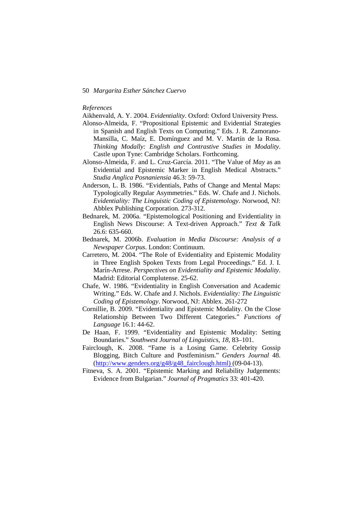#### *References*

Aikhenvald, A. Y. 2004. *Evidentiality*. Oxford: Oxford University Press.

- Alonso-Almeida, F. "Propositional Epistemic and Evidential Strategies in Spanish and English Texts on Computing." Eds. J. R. Zamorano-Mansilla, C. Maíz, E. Domínguez and M. V. Martín de la Rosa. *Thinking Modally: English and Contrastive Studies in Modality*. Castle upon Tyne: Cambridge Scholars. Forthcoming.
- Alonso-Almeida, F. and L. Cruz-García. 2011. "The Value of *May* as an Evidential and Epistemic Marker in English Medical Abstracts." *Studia Anglica Posnaniensia* 46.3: 59-73.
- Anderson, L. B. 1986. "Evidentials, Paths of Change and Mental Maps: Typologically Regular Asymmetries." Eds. W. Chafe and J. Nichols. *Evidentiality: The Linguistic Coding of Epistemology*. Norwood, NJ: Abblex Publishing Corporation. 273-312.
- Bednarek, M. 2006a. "Epistemological Positioning and Evidentiality in English News Discourse: A Text-driven Approach." *Text & Talk* 26.6: 635-660.
- Bednarek, M. 2006b. *Evaluation in Media Discourse: Analysis of a Newspaper Corpus*. London: Continuum.
- Carretero, M. 2004. "The Role of Evidentiality and Epistemic Modality in Three English Spoken Texts from Legal Proceedings." Ed. J. I. Marín-Arrese. *Perspectives on Evidentiality and Epistemic Modality*. Madrid: Editorial Complutense. 25-62.
- Chafe, W. 1986. "Evidentiality in English Conversation and Academic Writing." Eds. W. Chafe and J. Nichols. *Evidentiality: The Linguistic Coding of Epistemology*. Norwood, NJ: Abblex. 261-272
- Cornillie, B. 2009. "Evidentiality and Epistemic Modality. On the Close Relationship Between Two Different Categories." *Functions of Language* 16.1: 44-62.
- De Haan, F. 1999. "Evidentiality and Epistemic Modality: Setting Boundaries." *Southwest Journal of Linguistics*, *18*, 83–101.
- Fairclough, K. 2008. "Fame is a Losing Game. Celebrity Gossip Blogging, Bitch Culture and Postfeminism." *Genders Journal* 48. (http://www.genders.org/g48/g48\_fairclough.html) (09-04-13).
- Fitneva, S. A. 2001. "Epistemic Marking and Reliability Judgements: Evidence from Bulgarian." *Journal of Pragmatics* 33: 401-420.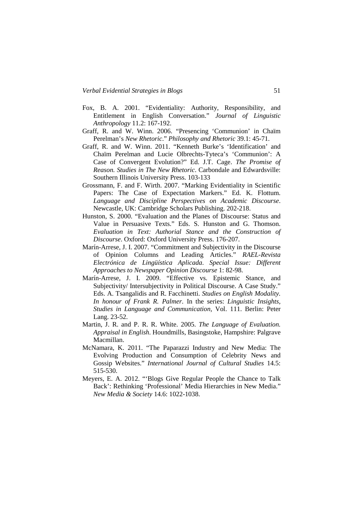- Fox, B. A. 2001. "Evidentiality: Authority, Responsibility, and Entitlement in English Conversation." *Journal of Linguistic Anthropology* 11.2: 167-192.
- Graff, R. and W. Winn. 2006. "Presencing 'Communion' in Chaïm Perelman's *New Rhetoric*." *Philosophy and Rhetoric* 39.1: 45-71.
- Graff, R. and W. Winn. 2011. "Kenneth Burke's 'Identification' and Chaïm Perelman and Lucie Olbrechts-Tyteca's 'Communion': A Case of Convergent Evolution?" Ed. J.T. Cage. *The Promise of Reason. Studies in The New Rhetoric*. Carbondale and Edwardsville: Southern Illinois University Press. 103-133
- Grossmann, F. and F. Wirth. 2007. "Marking Evidentiality in Scientific Papers: The Case of Expectation Markers." Ed. K. Flottum. *Language and Discipline Perspectives on Academic Discourse*. Newcastle, UK: Cambridge Scholars Publishing. 202-218.
- Hunston, S. 2000. "Evaluation and the Planes of Discourse: Status and Value in Persuasive Texts." Eds. S. Hunston and G. Thomson. *Evaluation in Text: Authorial Stance and the Construction of Discourse*. Oxford: Oxford University Press. 176-207.
- Marín-Arrese, J. I. 2007. "Commitment and Subjectivity in the Discourse of Opinion Columns and Leading Articles." *RAEL-Revista Electrónica de Lingüística Aplicada*. *Special Issue: Different Approaches to Newspaper Opinion Discourse* 1: 82-98.
- Marín-Arrese, J. I. 2009. "Effective vs. Epistemic Stance, and Subjectivity/ Intersubjectivity in Political Discourse. A Case Study." Eds. A. Tsangalidis and R. Facchinetti. *Studies on English Modality. In honour of Frank R. Palmer*. In the series: *Linguistic Insights, Studies in Language and Communication,* Vol. 111. Berlin: Peter Lang. 23-52.
- Martin, J. R. and P. R. R. White. 2005. *The Language of Evaluation. Appraisal in English*. Houndmills, Basingstoke, Hampshire: Palgrave Macmillan.
- McNamara, K. 2011. "The Paparazzi Industry and New Media: The Evolving Production and Consumption of Celebrity News and Gossip Websites." *International Journal of Cultural Studies* 14.5: 515-530.
- Meyers, E. A. 2012. "'Blogs Give Regular People the Chance to Talk Back': Rethinking 'Professional' Media Hierarchies in New Media." *New Media & Society* 14.6: 1022-1038.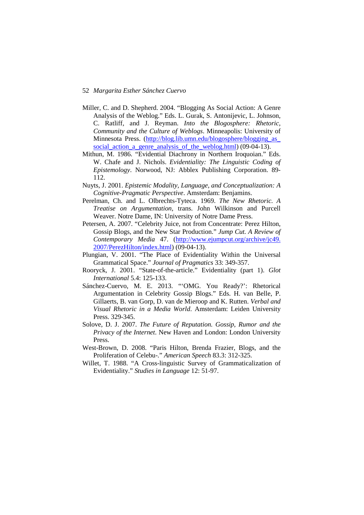- Miller, C. and D. Shepherd. 2004. "Blogging As Social Action: A Genre Analysis of the Weblog." Eds. L. Gurak, S. Antonijevic, L. Johnson, C. Ratliff, and J. Reyman. *Into the Blogosphere: Rhetoric, Community and the Culture of Weblogs*. Minneapolis: University of Minnesota Press. (http://blog.lib.umn.edu/blogosphere/blogging\_as\_ social action a genre analysis of the weblog.html) (09-04-13).
- Mithun, M. 1986. "Evidential Diachrony in Northern Iroquoian." Eds. W. Chafe and J. Nichols. *Evidentiality: The Linguistic Coding of Epistemology*. Norwood, NJ: Abblex Publishing Corporation. 89- 112.
- Nuyts, J. 2001. *Epistemic Modality, Language, and Conceptualization: A Cognitive-Pragmatic Perspective*. Amsterdam: Benjamins.
- Perelman, Ch. and L. Olbrechts-Tyteca. 1969. *The New Rhetoric. A Treatise on Argumentation*, trans. John Wilkinson and Purcell Weaver. Notre Dame, IN: University of Notre Dame Press.
- Petersen, A. 2007. "Celebrity Juice, not from Concentrate: Perez Hilton, Gossip Blogs, and the New Star Production." *Jump Cut. A Review of Contemporary Media* 47. (http://www.ejumpcut.org/archive/jc49. 2007/PerezHilton/index.html) (09-04-13).
- Plungian, V. 2001. "The Place of Evidentiality Within the Universal Grammatical Space." *Journal of Pragmatics* 33: 349-357.
- Rooryck, J. 2001. "State-of-the-article." Evidentiality (part 1). *Glot International* 5.4: 125-133.
- Sánchez-Cuervo, M. E. 2013. "'OMG. You Ready?': Rhetorical Argumentation in Celebrity Gossip Blogs." Eds. H. van Belle, P. Gillaerts, B. van Gorp, D. van de Mieroop and K. Rutten. *Verbal and Visual Rhetoric in a Media World*. Amsterdam: Leiden University Press. 329-345.
- Solove, D. J. 2007. *The Future of Reputation. Gossip, Rumor and the Privacy of the Internet*. New Haven and London: London University Press.
- West-Brown, D. 2008. "Paris Hilton, Brenda Frazier, Blogs, and the Proliferation of Celebu-." *American Speech* 83.3: 312-325.
- Willet, T. 1988. "A Cross-linguistic Survey of Grammaticalization of Evidentiality." *Studies in Language* 12: 51-97.